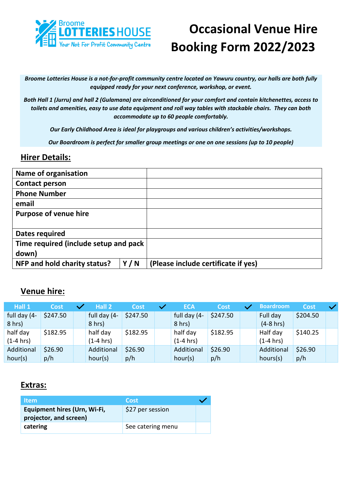

# **Occasional Venue Hire Booking Form 2022/2023**

*Broome Lotteries House is a not-for-profit community centre located on Yawuru country, our halls are both fully equipped ready for your next conference, workshop, or event.* 

*Both Hall 1 (Jurru) and hall 2 (Gulamana) are airconditioned for your comfort and contain kitchenettes, access to toilets and amenities, easy to use data equipment and roll way tables with stackable chairs. They can both accommodate up to 60 people comfortably.*

*Our Early Childhood Area is ideal for playgroups and various children's activities/workshops.*

*Our Boardroom is perfect for smaller group meetings or one on one sessions (up to 10 people)*

#### **Hirer Details:**

| <b>Name of organisation</b>           |     |                                     |
|---------------------------------------|-----|-------------------------------------|
| <b>Contact person</b>                 |     |                                     |
| <b>Phone Number</b>                   |     |                                     |
| email                                 |     |                                     |
| <b>Purpose of venue hire</b>          |     |                                     |
|                                       |     |                                     |
| Dates required                        |     |                                     |
| Time required (include setup and pack |     |                                     |
| down)                                 |     |                                     |
| NFP and hold charity status?          | Y/N | (Please include certificate if yes) |

### **Venue hire:**

| Hall 1                   | Cost     | Hall 2                   | <b>Cost</b> | <b>ECA</b>               | Cost     | <b>Boardroom</b>         | <b>Cost</b> |  |
|--------------------------|----------|--------------------------|-------------|--------------------------|----------|--------------------------|-------------|--|
| full day (4-<br>$8$ hrs) | \$247.50 | full day (4-<br>$8$ hrs) | \$247.50    | full day (4-<br>$8$ hrs) | \$247.50 | Full day<br>$(4-8)$ hrs) | \$204.50    |  |
| half day<br>$(1-4)$ hrs) | \$182.95 | half day<br>(1-4 hrs)    | \$182.95    | half day<br>$(1-4)$ hrs) | \$182.95 | Half day<br>$(1-4)$ hrs) | \$140.25    |  |
| Additional               | \$26.90  | Additional               | \$26.90     | Additional               | \$26.90  | Additional               | \$26.90     |  |
| hour(s)                  | p/h      | hour(s)                  | p/h         | hour(s)                  | p/h      | hours(s)                 | p/h         |  |

#### **Extras:**

| <b>Item</b>                  | <b>Cost</b>       |  |
|------------------------------|-------------------|--|
| Equipment hires (Urn, Wi-Fi, | \$27 per session  |  |
| projector, and screen)       |                   |  |
| catering                     | See catering menu |  |